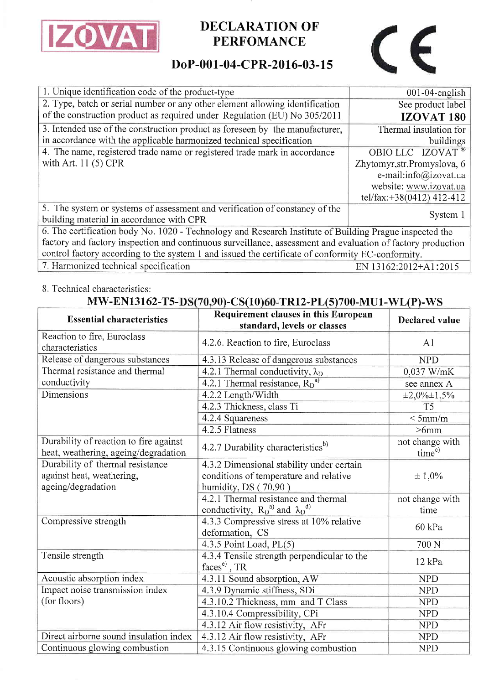

# **DECLARATION OF PERFOMANCE**

# $\epsilon$

## DoP-001-04-CPR-2016-03-15

| 1. Unique identification code of the product-type                                                           | 001-04-english               |  |  |
|-------------------------------------------------------------------------------------------------------------|------------------------------|--|--|
| 2. Type, batch or serial number or any other element allowing identification                                | See product label            |  |  |
| of the construction product as required under Regulation (EU) No 305/2011                                   | <b>IZOVAT 180</b>            |  |  |
| 3. Intended use of the construction product as foreseen by the manufacturer,                                | Thermal insulation for       |  |  |
| in accordance with the applicable harmonized technical specification                                        | buildings                    |  |  |
| 4. The name, registered trade name or registered trade mark in accordance                                   | OBIO LLC IZOVAT <sup>®</sup> |  |  |
| with Art. $11(5)$ CPR                                                                                       | Zhytomyr, str. Promyslova, 6 |  |  |
|                                                                                                             | e-mail:info@izovat.ua        |  |  |
|                                                                                                             | website: www.izovat.ua       |  |  |
|                                                                                                             | tel/fax:+38(0412) 412-412    |  |  |
| 5. The system or systems of assessment and verification of constancy of the                                 |                              |  |  |
| building material in accordance with CPR                                                                    | System 1                     |  |  |
| 6. The certification body No. 1020 - Technology and Research Institute of Building Prague inspected the     |                              |  |  |
| factory and factory inspection and continuous surveillance, assessment and evaluation of factory production |                              |  |  |
| control factory according to the system 1 and issued the certificate of conformity EC-conformity.           |                              |  |  |
| 7. Harmonized technical specification                                                                       | EN 13162:2012+A1:2015        |  |  |

### 8. Technical characteristics:

### MW-EN13162-T5-DS(70,90)-CS(10)60-TR12-PL(5)700-MU1-WL(P)-WS

| <b>Essential characteristics</b>                                               | Requirement clauses in this European<br>standard, levels or classes | <b>Declared value</b>       |
|--------------------------------------------------------------------------------|---------------------------------------------------------------------|-----------------------------|
| Reaction to fire, Euroclass<br>characteristics                                 | 4.2.6. Reaction to fire, Euroclass                                  | A <sub>1</sub>              |
| Release of dangerous substances                                                | 4.3.13 Release of dangerous substances                              | <b>NPD</b>                  |
| Thermal resistance and thermal                                                 | 4.2.1 Thermal conductivity, $\lambda_D$                             | 0,037 W/mK                  |
| conductivity                                                                   | 4.2.1 Thermal resistance, $R_D^{a}$                                 | see annex A                 |
| Dimensions                                                                     | 4.2.2 Length/Width                                                  | $\pm 2,0\% \pm 1,5\%$       |
|                                                                                | 4.2.3 Thickness, class Ti                                           | T <sub>5</sub>              |
|                                                                                | 4.2.4 Squareness                                                    | $<$ 5mm/m                   |
|                                                                                | 4.2.5 Flatness                                                      | $>6$ mm                     |
| Durability of reaction to fire against<br>heat, weathering, ageing/degradation | 4.2.7 Durability characteristics <sup>b)</sup>                      | not change with<br>$time^c$ |
| Durability of thermal resistance                                               | 4.3.2 Dimensional stability under certain                           |                             |
| against heat, weathering,                                                      | conditions of temperature and relative                              | ± 1,0%                      |
| ageing/degradation                                                             | humidity, DS (70.90)                                                |                             |
|                                                                                | 4.2.1 Thermal resistance and thermal                                | not change with             |
|                                                                                | conductivity, $R_D^{a)}$ and $\lambda_D^{d)}$                       | time                        |
| Compressive strength                                                           | 4.3.3 Compressive stress at 10% relative                            | 60 kPa                      |
|                                                                                | deformation, CS                                                     |                             |
|                                                                                | 4.3.5 Point Load, $PL(5)$                                           | 700 N                       |
| Tensile strength                                                               | 4.3.4 Tensile strength perpendicular to the<br>$facese$ , TR        | $12$ kPa                    |
| Acoustic absorption index                                                      | 4.3.11 Sound absorption, AW                                         | <b>NPD</b>                  |
| Impact noise transmission index                                                | 4.3.9 Dynamic stiffness, SDi                                        | <b>NPD</b>                  |
| (for floors)                                                                   | 4.3.10.2 Thickness, mm and T Class                                  | <b>NPD</b>                  |
|                                                                                | 4.3.10.4 Compressibility, CPi                                       | <b>NPD</b>                  |
|                                                                                | 4.3.12 Air flow resistivity, AFr                                    | <b>NPD</b>                  |
| Direct airborne sound insulation index                                         | 4.3.12 Air flow resistivity, AFr                                    | <b>NPD</b>                  |
| Continuous glowing combustion                                                  | 4.3.15 Continuous glowing combustion                                | <b>NPD</b>                  |